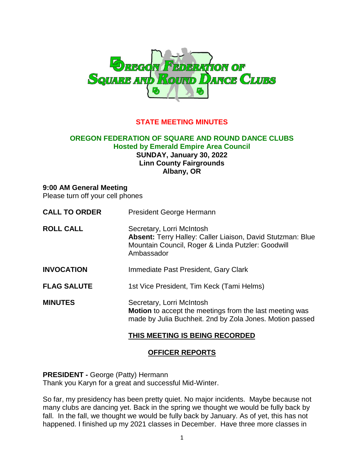

# **STATE MEETING MINUTES**

#### **OREGON FEDERATION OF SQUARE AND ROUND DANCE CLUBS Hosted by Emerald Empire Area Council SUNDAY, January 30, 2022 Linn County Fairgrounds Albany, OR**

#### **9:00 AM General Meeting**

Please turn off your cell phones

| <b>CALL TO ORDER</b> | President George Hermann                                                                                                                                   |
|----------------------|------------------------------------------------------------------------------------------------------------------------------------------------------------|
| <b>ROLL CALL</b>     | Secretary, Lorri McIntosh<br>Absent: Terry Halley: Caller Liaison, David Stutzman: Blue<br>Mountain Council, Roger & Linda Putzler: Goodwill<br>Ambassador |
| <b>INVOCATION</b>    | Immediate Past President, Gary Clark                                                                                                                       |
| <b>FLAG SALUTE</b>   | 1st Vice President, Tim Keck (Tami Helms)                                                                                                                  |
| <b>MINUTES</b>       | Secretary, Lorri McIntosh<br>Motion to accept the meetings from the last meeting was<br>made by Julia Buchheit. 2nd by Zola Jones. Motion passed           |

#### **THIS MEETING IS BEING RECORDED**

#### **OFFICER REPORTS**

**PRESIDENT -** George (Patty) Hermann Thank you Karyn for a great and successful Mid-Winter.

So far, my presidency has been pretty quiet. No major incidents. Maybe because not many clubs are dancing yet. Back in the spring we thought we would be fully back by fall. In the fall, we thought we would be fully back by January. As of yet, this has not happened. I finished up my 2021 classes in December. Have three more classes in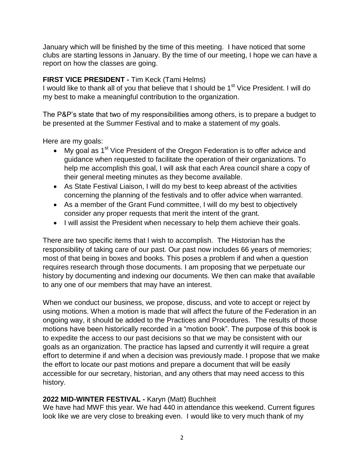January which will be finished by the time of this meeting. I have noticed that some clubs are starting lessons in January. By the time of our meeting, I hope we can have a report on how the classes are going.

# **FIRST VICE PRESIDENT -** Tim Keck (Tami Helms)

I would like to thank all of you that believe that I should be  $1<sup>st</sup>$  Vice President. I will do my best to make a meaningful contribution to the organization.

The P&P's state that two of my responsibilities among others, is to prepare a budget to be presented at the Summer Festival and to make a statement of my goals.

Here are my goals:

- My goal as  $1<sup>st</sup>$  Vice President of the Oregon Federation is to offer advice and guidance when requested to facilitate the operation of their organizations. To help me accomplish this goal, I will ask that each Area council share a copy of their general meeting minutes as they become available.
- As State Festival Liaison, I will do my best to keep abreast of the activities concerning the planning of the festivals and to offer advice when warranted.
- As a member of the Grant Fund committee, I will do my best to objectively consider any proper requests that merit the intent of the grant.
- I will assist the President when necessary to help them achieve their goals.

There are two specific items that I wish to accomplish. The Historian has the responsibility of taking care of our past. Our past now includes 66 years of memories; most of that being in boxes and books. This poses a problem if and when a question requires research through those documents. I am proposing that we perpetuate our history by documenting and indexing our documents. We then can make that available to any one of our members that may have an interest.

When we conduct our business, we propose, discuss, and vote to accept or reject by using motions. When a motion is made that will affect the future of the Federation in an ongoing way, it should be added to the Practices and Procedures. The results of those motions have been historically recorded in a "motion book". The purpose of this book is to expedite the access to our past decisions so that we may be consistent with our goals as an organization. The practice has lapsed and currently it will require a great effort to determine if and when a decision was previously made. I propose that we make the effort to locate our past motions and prepare a document that will be easily accessible for our secretary, historian, and any others that may need access to this history.

# **2022 MID-WINTER FESTIVAL -** Karyn (Matt) Buchheit

We have had MWF this year. We had 440 in attendance this weekend. Current figures look like we are very close to breaking even. I would like to very much thank of my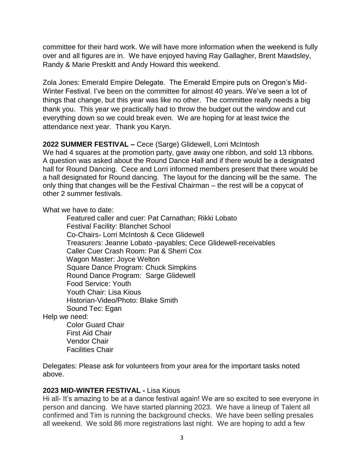committee for their hard work. We will have more information when the weekend is fully over and all figures are in. We have enjoyed having Ray Gallagher, Brent Mawdsley, Randy & Marie Preskitt and Andy Howard this weekend.

Zola Jones: Emerald Empire Delegate. The Emerald Empire puts on Oregon's Mid-Winter Festival. I've been on the committee for almost 40 years. We've seen a lot of things that change, but this year was like no other. The committee really needs a big thank you. This year we practically had to throw the budget out the window and cut everything down so we could break even. We are hoping for at least twice the attendance next year. Thank you Karyn.

# **2022 SUMMER FESTIVAL –** Cece (Sarge) Glidewell, Lorri McIntosh

We had 4 squares at the promotion party, gave away one ribbon, and sold 13 ribbons. A question was asked about the Round Dance Hall and if there would be a designated hall for Round Dancing. Cece and Lorri informed members present that there would be a hall designated for Round dancing. The layout for the dancing will be the same. The only thing that changes will be the Festival Chairman – the rest will be a copycat of other 2 summer festivals.

What we have to date:

 Featured caller and cuer: Pat Carnathan; Rikki Lobato Festival Facility: Blanchet School Co-Chairs- Lorri McIntosh & Cece Glidewell Treasurers: Jeanne Lobato -payables; Cece Glidewell-receivables Caller Cuer Crash Room: Pat & Sherri Cox Wagon Master: Joyce Welton Square Dance Program: Chuck Simpkins Round Dance Program: Sarge Glidewell Food Service: Youth Youth Chair: Lisa Kious Historian-Video/Photo: Blake Smith Sound Tec: Egan Help we need: Color Guard Chair First Aid Chair Vendor Chair

Facilities Chair

Delegates: Please ask for volunteers from your area for the important tasks noted above.

#### **2023 MID-WINTER FESTIVAL -** Lisa Kious

Hi all- It's amazing to be at a dance festival again! We are so excited to see everyone in person and dancing. We have started planning 2023. We have a lineup of Talent all confirmed and Tim is running the background checks. We have been selling presales all weekend. We sold 86 more registrations last night. We are hoping to add a few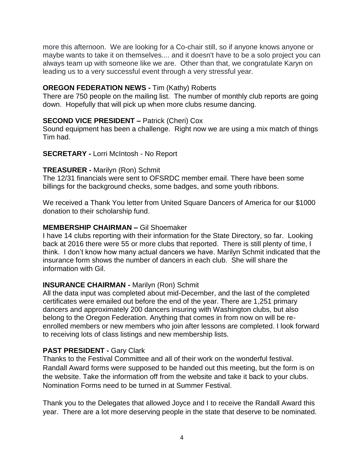more this afternoon. We are looking for a Co-chair still, so if anyone knows anyone or maybe wants to take it on themselves.... and it doesn't have to be a solo project you can always team up with someone like we are. Other than that, we congratulate Karyn on leading us to a very successful event through a very stressful year.

#### **OREGON FEDERATION NEWS -** Tim (Kathy) Roberts

There are 750 people on the mailing list. The number of monthly club reports are going down. Hopefully that will pick up when more clubs resume dancing.

# **SECOND VICE PRESIDENT –** Patrick (Cheri) Cox

Sound equipment has been a challenge. Right now we are using a mix match of things Tim had.

**SECRETARY -** Lorri McIntosh - No Report

## **TREASURER -** Marilyn (Ron) Schmit

The 12/31 financials were sent to OFSRDC member email. There have been some billings for the background checks, some badges, and some youth ribbons.

We received a Thank You letter from United Square Dancers of America for our \$1000 donation to their scholarship fund.

## **MEMBERSHIP CHAIRMAN –** Gil Shoemaker

I have 14 clubs reporting with their information for the State Directory, so far. Looking back at 2016 there were 55 or more clubs that reported. There is still plenty of time, I think. I don't know how many actual dancers we have. Marilyn Schmit indicated that the insurance form shows the number of dancers in each club. She will share the information with Gil.

# **INSURANCE CHAIRMAN -** Marilyn (Ron) Schmit

All the data input was completed about mid-December, and the last of the completed certificates were emailed out before the end of the year. There are 1,251 primary dancers and approximately 200 dancers insuring with Washington clubs, but also belong to the Oregon Federation. Anything that comes in from now on will be reenrolled members or new members who join after lessons are completed. I look forward to receiving lots of class listings and new membership lists.

# **PAST PRESIDENT -** Gary Clark

Thanks to the Festival Committee and all of their work on the wonderful festival. Randall Award forms were supposed to be handed out this meeting, but the form is on the website. Take the information off from the website and take it back to your clubs. Nomination Forms need to be turned in at Summer Festival.

Thank you to the Delegates that allowed Joyce and I to receive the Randall Award this year. There are a lot more deserving people in the state that deserve to be nominated.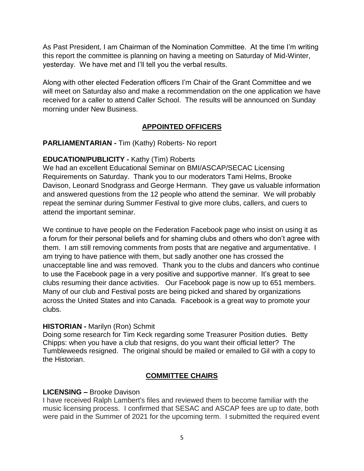As Past President, I am Chairman of the Nomination Committee. At the time I'm writing this report the committee is planning on having a meeting on Saturday of Mid-Winter, yesterday. We have met and I'll tell you the verbal results.

Along with other elected Federation officers I'm Chair of the Grant Committee and we will meet on Saturday also and make a recommendation on the one application we have received for a caller to attend Caller School. The results will be announced on Sunday morning under New Business.

# **APPOINTED OFFICERS**

**PARLIAMENTARIAN -** Tim (Kathy) Roberts- No report

# **EDUCATION/PUBLICITY -** Kathy (Tim) Roberts

We had an excellent Educational Seminar on BMI/ASCAP/SECAC Licensing Requirements on Saturday. Thank you to our moderators Tami Helms, Brooke Davison, Leonard Snodgrass and George Hermann. They gave us valuable information and answered questions from the 12 people who attend the seminar. We will probably repeat the seminar during Summer Festival to give more clubs, callers, and cuers to attend the important seminar.

We continue to have people on the Federation Facebook page who insist on using it as a forum for their personal beliefs and for shaming clubs and others who don't agree with them. I am still removing comments from posts that are negative and argumentative. I am trying to have patience with them, but sadly another one has crossed the unacceptable line and was removed. Thank you to the clubs and dancers who continue to use the Facebook page in a very positive and supportive manner. It's great to see clubs resuming their dance activities. Our Facebook page is now up to 651 members. Many of our club and Festival posts are being picked and shared by organizations across the United States and into Canada. Facebook is a great way to promote your clubs.

# **HISTORIAN -** Marilyn (Ron) Schmit

Doing some research for Tim Keck regarding some Treasurer Position duties. Betty Chipps: when you have a club that resigns, do you want their official letter? The Tumbleweeds resigned. The original should be mailed or emailed to Gil with a copy to the Historian.

# **COMMITTEE CHAIRS**

# **LICENSING –** Brooke Davison

I have received Ralph Lambert's files and reviewed them to become familiar with the music licensing process. I confirmed that SESAC and ASCAP fees are up to date, both were paid in the Summer of 2021 for the upcoming term. I submitted the required event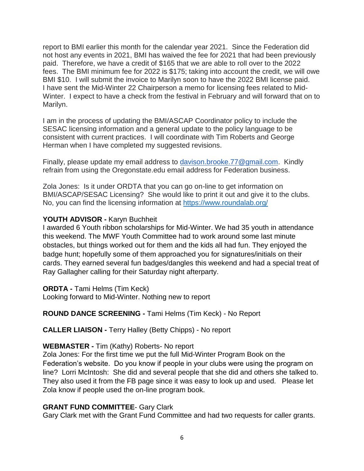report to BMI earlier this month for the calendar year 2021. Since the Federation did not host any events in 2021, BMI has waived the fee for 2021 that had been previously paid. Therefore, we have a credit of \$165 that we are able to roll over to the 2022 fees. The BMI minimum fee for 2022 is \$175; taking into account the credit, we will owe BMI \$10. I will submit the invoice to Marilyn soon to have the 2022 BMI license paid. I have sent the Mid-Winter 22 Chairperson a memo for licensing fees related to Mid-Winter. I expect to have a check from the festival in February and will forward that on to Marilyn.

I am in the process of updating the BMI/ASCAP Coordinator policy to include the SESAC licensing information and a general update to the policy language to be consistent with current practices. I will coordinate with Tim Roberts and George Herman when I have completed my suggested revisions.

Finally, please update my email address to [davison.brooke.77@gmail.com.](mailto:davison.brooke.77@gmail.com) Kindly refrain from using the Oregonstate.edu email address for Federation business.

Zola Jones: Is it under ORDTA that you can go on-line to get information on BMI/ASCAP/SESAC Licensing? She would like to print it out and give it to the clubs. No, you can find the licensing information at<https://www.roundalab.org/>

## **YOUTH ADVISOR -** Karyn Buchheit

I awarded 6 Youth ribbon scholarships for Mid-Winter. We had 35 youth in attendance this weekend. The MWF Youth Committee had to work around some last minute obstacles, but things worked out for them and the kids all had fun. They enjoyed the badge hunt; hopefully some of them approached you for signatures/initials on their cards. They earned several fun badges/dangles this weekend and had a special treat of Ray Gallagher calling for their Saturday night afterparty.

**ORDTA -** Tami Helms (Tim Keck)

Looking forward to Mid-Winter. Nothing new to report

# **ROUND DANCE SCREENING -** Tami Helms (Tim Keck) - No Report

**CALLER LIAISON -** Terry Halley (Betty Chipps) - No report

# **WEBMASTER -** Tim (Kathy) Roberts- No report

Zola Jones: For the first time we put the full Mid-Winter Program Book on the Federation's website. Do you know if people in your clubs were using the program on line? Lorri McIntosh: She did and several people that she did and others she talked to. They also used it from the FB page since it was easy to look up and used. Please let Zola know if people used the on-line program book.

# **GRANT FUND COMMITTEE**- Gary Clark

Gary Clark met with the Grant Fund Committee and had two requests for caller grants.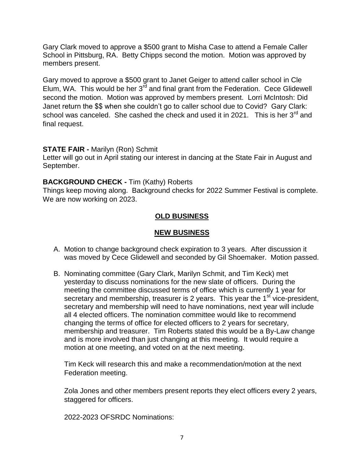Gary Clark moved to approve a \$500 grant to Misha Case to attend a Female Caller School in Pittsburg, RA. Betty Chipps second the motion. Motion was approved by members present.

Gary moved to approve a \$500 grant to Janet Geiger to attend caller school in Cle Elum, WA. This would be her  $3^{rd}$  and final grant from the Federation. Cece Glidewell second the motion. Motion was approved by members present. Lorri McIntosh: Did Janet return the \$\$ when she couldn't go to caller school due to Covid? Gary Clark: school was canceled. She cashed the check and used it in 2021. This is her  $3^{rd}$  and final request.

## **STATE FAIR -** Marilyn (Ron) Schmit

Letter will go out in April stating our interest in dancing at the State Fair in August and September.

# **BACKGROUND CHECK -** Tim (Kathy) Roberts

Things keep moving along. Background checks for 2022 Summer Festival is complete. We are now working on 2023.

# **OLD BUSINESS**

## **NEW BUSINESS**

- A. Motion to change background check expiration to 3 years. After discussion it was moved by Cece Glidewell and seconded by Gil Shoemaker. Motion passed.
- B. Nominating committee (Gary Clark, Marilyn Schmit, and Tim Keck) met yesterday to discuss nominations for the new slate of officers. During the meeting the committee discussed terms of office which is currently 1 year for secretary and membership, treasurer is 2 years. This year the 1<sup>st</sup> vice-president, secretary and membership will need to have nominations, next year will include all 4 elected officers. The nomination committee would like to recommend changing the terms of office for elected officers to 2 years for secretary, membership and treasurer. Tim Roberts stated this would be a By-Law change and is more involved than just changing at this meeting. It would require a motion at one meeting, and voted on at the next meeting.

Tim Keck will research this and make a recommendation/motion at the next Federation meeting.

Zola Jones and other members present reports they elect officers every 2 years, staggered for officers.

2022-2023 OFSRDC Nominations: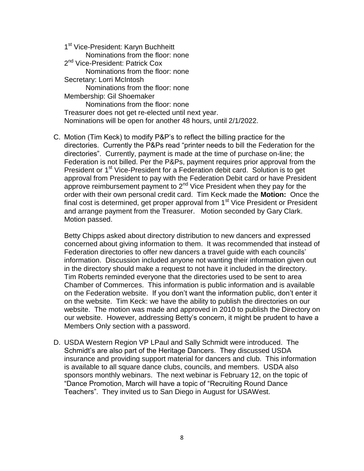1<sup>st</sup> Vice-President: Karyn Buchheitt Nominations from the floor: none 2<sup>nd</sup> Vice-President: Patrick Cox Nominations from the floor: none Secretary: Lorri McIntosh Nominations from the floor: none Membership: Gil Shoemaker Nominations from the floor: none Treasurer does not get re-elected until next year. Nominations will be open for another 48 hours, until 2/1/2022.

C. Motion (Tim Keck) to modify P&P's to reflect the billing practice for the directories. Currently the P&Ps read "printer needs to bill the Federation for the directories". Currently, payment is made at the time of purchase on-line; the Federation is not billed. Per the P&Ps, payment requires prior approval from the President or 1<sup>st</sup> Vice-President for a Federation debit card. Solution is to get approval from President to pay with the Federation Debit card or have President approve reimbursement payment to 2<sup>nd</sup> Vice President when they pay for the order with their own personal credit card. Tim Keck made the **Motion:** Once the final cost is determined, get proper approval from  $1<sup>st</sup>$  Vice President or President and arrange payment from the Treasurer. Motion seconded by Gary Clark. Motion passed.

Betty Chipps asked about directory distribution to new dancers and expressed concerned about giving information to them. It was recommended that instead of Federation directories to offer new dancers a travel guide with each councils' information. Discussion included anyone not wanting their information given out in the directory should make a request to not have it included in the directory. Tim Roberts reminded everyone that the directories used to be sent to area Chamber of Commerces. This information is public information and is available on the Federation website. If you don't want the information public, don't enter it on the website. Tim Keck: we have the ability to publish the directories on our website. The motion was made and approved in 2010 to publish the Directory on our website. However, addressing Betty's concern, it might be prudent to have a Members Only section with a password.

D. USDA Western Region VP LPaul and Sally Schmidt were introduced. The Schmidt's are also part of the Heritage Dancers. They discussed USDA insurance and providing support material for dancers and club. This information is available to all square dance clubs, councils, and members. USDA also sponsors monthly webinars. The next webinar is February 12, on the topic of "Dance Promotion, March will have a topic of "Recruiting Round Dance Teachers". They invited us to San Diego in August for USAWest.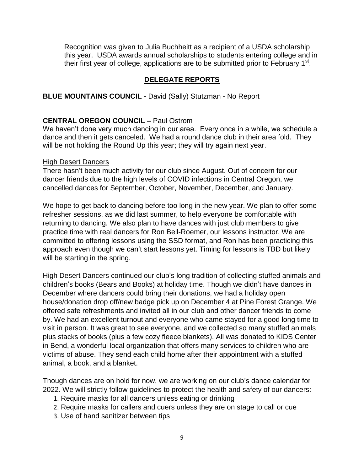Recognition was given to Julia Buchheitt as a recipient of a USDA scholarship this year. USDA awards annual scholarships to students entering college and in their first year of college, applications are to be submitted prior to February 1<sup>st</sup>.

## **DELEGATE REPORTS**

#### **BLUE MOUNTAINS COUNCIL -** David (Sally) Stutzman - No Report

#### **CENTRAL OREGON COUNCIL –** Paul Ostrom

We haven't done very much dancing in our area. Every once in a while, we schedule a dance and then it gets canceled. We had a round dance club in their area fold. They will be not holding the Round Up this year; they will try again next year.

#### High Desert Dancers

There hasn't been much activity for our club since August. Out of concern for our dancer friends due to the high levels of COVID infections in Central Oregon, we cancelled dances for September, October, November, December, and January.

We hope to get back to dancing before too long in the new year. We plan to offer some refresher sessions, as we did last summer, to help everyone be comfortable with returning to dancing. We also plan to have dances with just club members to give practice time with real dancers for Ron Bell-Roemer, our lessons instructor. We are committed to offering lessons using the SSD format, and Ron has been practicing this approach even though we can't start lessons yet. Timing for lessons is TBD but likely will be starting in the spring.

High Desert Dancers continued our club's long tradition of collecting stuffed animals and children's books (Bears and Books) at holiday time. Though we didn't have dances in December where dancers could bring their donations, we had a holiday open house/donation drop off/new badge pick up on December 4 at Pine Forest Grange. We offered safe refreshments and invited all in our club and other dancer friends to come by. We had an excellent turnout and everyone who came stayed for a good long time to visit in person. It was great to see everyone, and we collected so many stuffed animals plus stacks of books (plus a few cozy fleece blankets). All was donated to KIDS Center in Bend, a wonderful local organization that offers many services to children who are victims of abuse. They send each child home after their appointment with a stuffed animal, a book, and a blanket.

Though dances are on hold for now, we are working on our club's dance calendar for 2022. We will strictly follow guidelines to protect the health and safety of our dancers:

- 1. Require masks for all dancers unless eating or drinking
- 2. Require masks for callers and cuers unless they are on stage to call or cue
- 3. Use of hand sanitizer between tips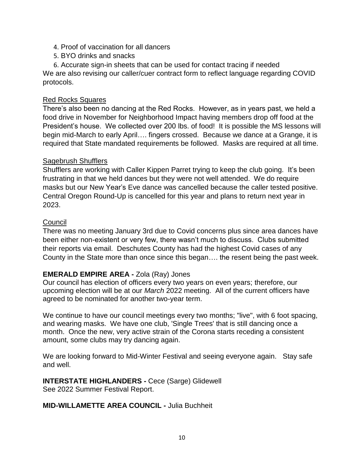- 4. Proof of vaccination for all dancers
- 5. BYO drinks and snacks

6. Accurate sign-in sheets that can be used for contact tracing if needed We are also revising our caller/cuer contract form to reflect language regarding COVID protocols.

## Red Rocks Squares

There's also been no dancing at the Red Rocks. However, as in years past, we held a food drive in November for Neighborhood Impact having members drop off food at the President's house. We collected over 200 lbs. of food! It is possible the MS lessons will begin mid-March to early April…. fingers crossed. Because we dance at a Grange, it is required that State mandated requirements be followed. Masks are required at all time.

#### Sagebrush Shufflers

Shufflers are working with Caller Kippen Parret trying to keep the club going. It's been frustrating in that we held dances but they were not well attended. We do require masks but our New Year's Eve dance was cancelled because the caller tested positive. Central Oregon Round-Up is cancelled for this year and plans to return next year in 2023.

#### **Council**

There was no meeting January 3rd due to Covid concerns plus since area dances have been either non-existent or very few, there wasn't much to discuss. Clubs submitted their reports via email. Deschutes County has had the highest Covid cases of any County in the State more than once since this began…. the resent being the past week.

# **EMERALD EMPIRE AREA -** Zola (Ray) Jones

Our council has election of officers every two years on even years; therefore, our upcoming election will be at our *March* 2022 meeting. All of the current officers have agreed to be nominated for another two-year term.

We continue to have our council meetings every two months; "live", with 6 foot spacing, and wearing masks. We have one club, 'Single Trees' that is still dancing once a month. Once the new, very active strain of the Corona starts receding a consistent amount, some clubs may try dancing again.

We are looking forward to Mid-Winter Festival and seeing everyone again. Stay safe and well.

#### **INTERSTATE HIGHLANDERS -** Cece (Sarge) Glidewell See 2022 Summer Festival Report.

#### **MID-WILLAMETTE AREA COUNCIL -** Julia Buchheit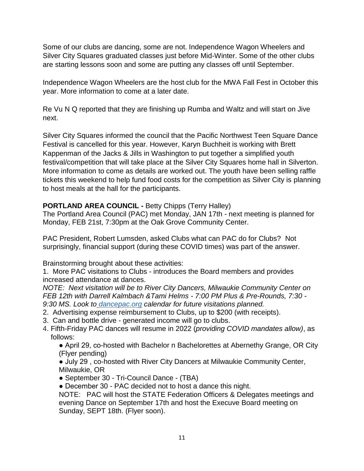Some of our clubs are dancing, some are not. Independence Wagon Wheelers and Silver City Squares graduated classes just before Mid-Winter. Some of the other clubs are starting lessons soon and some are putting any classes off until September.

Independence Wagon Wheelers are the host club for the MWA Fall Fest in October this year. More information to come at a later date.

Re Vu N Q reported that they are finishing up Rumba and Waltz and will start on Jive next.

Silver City Squares informed the council that the Pacific Northwest Teen Square Dance Festival is cancelled for this year. However, Karyn Buchheit is working with Brett Kappenman of the Jacks & Jills in Washington to put together a simplified youth festival/competition that will take place at the Silver City Squares home hall in Silverton. More information to come as details are worked out. The youth have been selling raffle tickets this weekend to help fund food costs for the competition as Silver City is planning to host meals at the hall for the participants.

# **PORTLAND AREA COUNCIL -** Betty Chipps (Terry Halley)

The Portland Area Council (PAC) met Monday, JAN 17th - next meeting is planned for Monday, FEB 21st, 7:30pm at the Oak Grove Community Center.

PAC President, Robert Lumsden, asked Clubs what can PAC do for Clubs? Not surprisingly, financial support (during these COVID times) was part of the answer.

Brainstorming brought about these activities:

1. More PAC visitations to Clubs - introduces the Board members and provides increased attendance at dances.

*NOTE: Next visitation will be to River City Dancers, Milwaukie Community Center on FEB 12th with Darrell Kalmbach &Tami Helms - 7:00 PM Plus & Pre-Rounds, 7:30 - 9:30 MS. Look to [dancepac.org](http://dancepac.org/) calendar for future visitations planned.*

- 2. Advertising expense reimbursement to Clubs, up to \$200 (with receipts).
- 3. Can and bottle drive generated income will go to clubs.
- 4. Fifth-Friday PAC dances will resume in 2022 (*providing COVID mandates allow)*, as follows:

● April 29, co-hosted with Bachelor n Bachelorettes at Abernethy Grange, OR City (Flyer pending)

● July 29 , co-hosted with River City Dancers at Milwaukie Community Center, Milwaukie, OR

- September 30 Tri-Council Dance (TBA)
- December 30 PAC decided not to host a dance this night.

NOTE: PAC will host the STATE Federation Officers & Delegates meetings and evening Dance on September 17th and host the Execuve Board meeting on Sunday, SEPT 18th. (Flyer soon).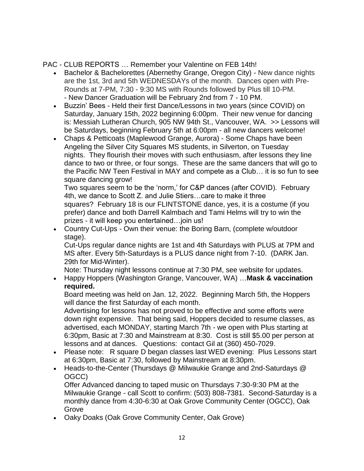PAC - CLUB REPORTS … Remember your Valentine on FEB 14th!

- Bachelor & Bachelorettes (Abernethy Grange, Oregon City) New dance nights are the 1st, 3rd and 5th WEDNESDAYs of the month. Dances open with Pre-Rounds at 7-PM, 7:30 - 9:30 MS with Rounds followed by Plus till 10-PM. - New Dancer Graduation will be February 2nd from 7 - 10 PM.
- Buzzin' Bees Held their first Dance/Lessons in two years (since COVID) on Saturday, January 15th, 2022 beginning 6:00pm. Their new venue for dancing is: Messiah Lutheran Church, 905 NW 94th St., Vancouver, WA. >> Lessons will be Saturdays, beginning February 5th at 6:00pm - all new dancers welcome!
- Chaps & Petticoats (Maplewood Grange, Aurora) Some Chaps have been Angeling the Silver City Squares MS students, in Silverton, on Tuesday nights. They flourish their moves with such enthusiasm, after lessons they line dance to two or three, or four songs. These are the same dancers that will go to the Pacific NW Teen Festival in MAY and compete as a Club… it is so fun to see square dancing grow!

Two squares seem to be the 'norm,' for C&P dances (after COVID). February 4th, we dance to Scott Z. and Julie Stiers…care to make it three squares? February 18 is our FLINTSTONE dance, yes, it is a costume (if you prefer) dance and both Darrell Kalmbach and Tami Helms will try to win the prizes - it will keep you entertained…join us!

 Country Cut-Ups - Own their venue: the Boring Barn, (complete w/outdoor stage).

Cut-Ups regular dance nights are 1st and 4th Saturdays with PLUS at 7PM and MS after. Every 5th-Saturdays is a PLUS dance night from 7-10. (DARK Jan. 29th for Mid-Winter).

Note: Thursday night lessons continue at 7:30 PM, see website for updates.

 Happy Hoppers (Washington Grange, Vancouver, WA) …**Mask & vaccination required.**

Board meeting was held on Jan. 12, 2022. Beginning March 5th, the Hoppers will dance the first Saturday of each month.

Advertising for lessons has not proved to be effective and some efforts were down right expensive. That being said, Hoppers decided to resume classes, as advertised, each MONDAY, starting March 7th - we open with Plus starting at 6:30pm, Basic at 7:30 and Mainstream at 8:30. Cost is still \$5.00 per person at lessons and at dances. Questions: contact Gil at (360) 450-7029.

- Please note: R square D began classes last WED evening: Plus Lessons start at 6:30pm, Basic at 7:30, followed by Mainstream at 8:30pm.
- Heads-to-the-Center (Thursdays @ Milwaukie Grange and 2nd-Saturdays @ OGCC)

Offer Advanced dancing to taped music on Thursdays 7:30-9:30 PM at the Milwaukie Grange - call Scott to confirm: (503) 808-7381. Second-Saturday is a monthly dance from 4:30-6:30 at Oak Grove Community Center (OGCC), Oak Grove

Oaky Doaks (Oak Grove Community Center, Oak Grove)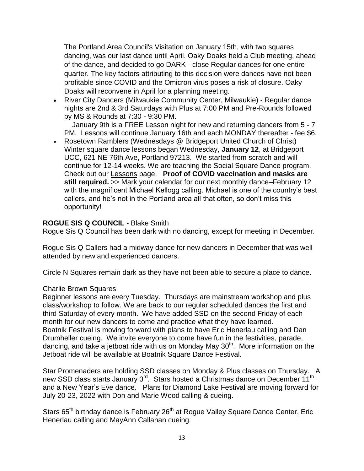The Portland Area Council's Visitation on January 15th, with two squares dancing, was our last dance until April. Oaky Doaks held a Club meeting, ahead of the dance, and decided to go DARK - close Regular dances for one entire quarter. The key factors attributing to this decision were dances have not been profitable since COVID and the Omicron virus poses a risk of closure. Oaky Doaks will reconvene in April for a planning meeting.

 River City Dancers (Milwaukie Community Center, Milwaukie) - Regular dance nights are 2nd & 3rd Saturdays with Plus at 7:00 PM and Pre-Rounds followed by MS & Rounds at 7:30 - 9:30 PM.

 January 9th is a FREE Lesson night for new and returning dancers from 5 - 7 PM. Lessons will continue January 16th and each MONDAY thereafter - fee \$6.

 Rosetown Ramblers (Wednesdays @ Bridgeport United Church of Christ) Winter square dance lessons began Wednesday, **January 12**, at Bridgeport UCC, 621 NE 76th Ave, Portland 97213. We started from scratch and will continue for 12-14 weeks. We are teaching the Social Square Dance program. Check out our [Lessons](https://www.rosetownramblers.com/lessons-2/) page. **Proof of COVID vaccination and masks are still required.** >> Mark your calendar for our next monthly dance–February 12 with the magnificent Michael Kellogg calling. Michael is one of the country's best callers, and he's not in the Portland area all that often, so don't miss this opportunity!

#### **ROGUE SIS Q COUNCIL -** Blake Smith

Rogue Sis Q Council has been dark with no dancing, except for meeting in December.

Rogue Sis Q Callers had a midway dance for new dancers in December that was well attended by new and experienced dancers.

Circle N Squares remain dark as they have not been able to secure a place to dance.

#### Charlie Brown Squares

Beginner lessons are every Tuesday. Thursdays are mainstream workshop and plus class/workshop to follow. We are back to our regular scheduled dances the first and third Saturday of every month. We have added SSD on the second Friday of each month for our new dancers to come and practice what they have learned. Boatnik Festival is moving forward with plans to have Eric Henerlau calling and Dan Drumheller cueing. We invite everyone to come have fun in the festivities, parade, dancing, and take a jetboat ride with us on Monday May  $30<sup>th</sup>$ . More information on the Jetboat ride will be available at Boatnik Square Dance Festival.

Star Promenaders are holding SSD classes on Monday & Plus classes on Thursday. A new SSD class starts January 3<sup>rd</sup>. Stars hosted a Christmas dance on December 11<sup>th</sup> and a New Year's Eve dance. Plans for Diamond Lake Festival are moving forward for July 20-23, 2022 with Don and Marie Wood calling & cueing.

Stars 65<sup>th</sup> birthday dance is February 26<sup>th</sup> at Rogue Valley Square Dance Center, Eric Henerlau calling and MayAnn Callahan cueing.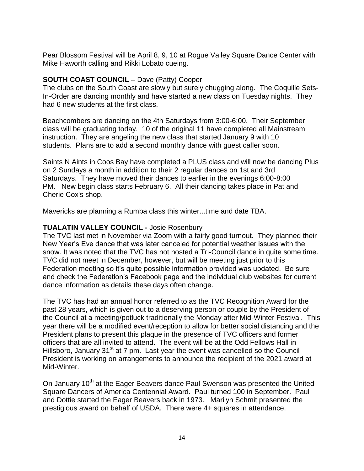Pear Blossom Festival will be April 8, 9, 10 at Rogue Valley Square Dance Center with Mike Haworth calling and Rikki Lobato cueing.

## **SOUTH COAST COUNCIL –** Dave (Patty) Cooper

The clubs on the South Coast are slowly but surely chugging along. The Coquille Sets-In-Order are dancing monthly and have started a new class on Tuesday nights. They had 6 new students at the first class.

Beachcombers are dancing on the 4th Saturdays from 3:00-6:00. Their September class will be graduating today. 10 of the original 11 have completed all Mainstream instruction. They are angeling the new class that started January 9 with 10 students. Plans are to add a second monthly dance with guest caller soon.

Saints N Aints in Coos Bay have completed a PLUS class and will now be dancing Plus on 2 Sundays a month in addition to their 2 regular dances on 1st and 3rd Saturdays. They have moved their dances to earlier in the evenings 6:00-8:00 PM. New begin class starts February 6. All their dancing takes place in Pat and Cherie Cox's shop.

Mavericks are planning a Rumba class this winter...time and date TBA.

## **TUALATIN VALLEY COUNCIL -** Josie Rosenbury

The TVC last met in November via Zoom with a fairly good turnout. They planned their New Year's Eve dance that was later canceled for potential weather issues with the snow. It was noted that the TVC has not hosted a Tri-Council dance in quite some time. TVC did not meet in December, however, but will be meeting just prior to this Federation meeting so it's quite possible information provided was updated. Be sure and check the Federation's Facebook page and the individual club websites for current dance information as details these days often change.

The TVC has had an annual honor referred to as the TVC Recognition Award for the past 28 years, which is given out to a deserving person or couple by the President of the Council at a meeting/potluck traditionally the Monday after Mid-Winter Festival. This year there will be a modified event/reception to allow for better social distancing and the President plans to present this plaque in the presence of TVC officers and former officers that are all invited to attend. The event will be at the Odd Fellows Hall in Hillsboro, January 31<sup>st</sup> at 7 pm. Last year the event was cancelled so the Council President is working on arrangements to announce the recipient of the 2021 award at Mid-Winter.

On January 10<sup>th</sup> at the Eager Beavers dance Paul Swenson was presented the United Square Dancers of America Centennial Award. Paul turned 100 in September. Paul and Dottie started the Eager Beavers back in 1973. Marilyn Schmit presented the prestigious award on behalf of USDA. There were 4+ squares in attendance.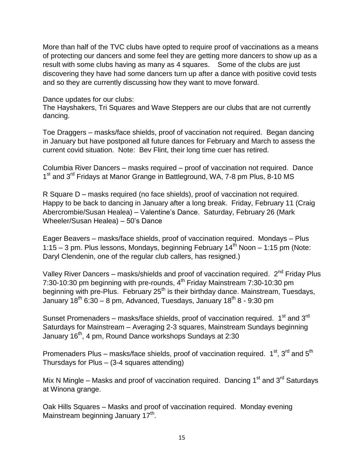More than half of the TVC clubs have opted to require proof of vaccinations as a means of protecting our dancers and some feel they are getting more dancers to show up as a result with some clubs having as many as 4 squares. Some of the clubs are just discovering they have had some dancers turn up after a dance with positive covid tests and so they are currently discussing how they want to move forward.

Dance updates for our clubs:

The Hayshakers, Tri Squares and Wave Steppers are our clubs that are not currently dancing.

Toe Draggers – masks/face shields, proof of vaccination not required. Began dancing in January but have postponed all future dances for February and March to assess the current covid situation. Note: Bev Flint, their long time cuer has retired.

Columbia River Dancers – masks required – proof of vaccination not required. Dance 1<sup>st</sup> and 3<sup>rd</sup> Fridays at Manor Grange in Battleground, WA, 7-8 pm Plus, 8-10 MS

R Square D – masks required (no face shields), proof of vaccination not required. Happy to be back to dancing in January after a long break. Friday, February 11 (Craig Abercrombie/Susan Healea) – Valentine's Dance. Saturday, February 26 (Mark Wheeler/Susan Healea) – 50's Dance

Eager Beavers – masks/face shields, proof of vaccination required. Mondays – Plus 1:15 – 3 pm. Plus lessons, Mondays, beginning February  $14<sup>th</sup>$  Noon – 1:15 pm (Note: Daryl Clendenin, one of the regular club callers, has resigned.)

Valley River Dancers – masks/shields and proof of vaccination required. 2<sup>nd</sup> Friday Plus 7:30-10:30 pm beginning with pre-rounds,  $4^{\text{th}}$  Friday Mainstream 7:30-10:30 pm beginning with pre-Plus. February 25<sup>th</sup> is their birthday dance. Mainstream, Tuesdays, January  $18^{th}$  6:30 – 8 pm, Advanced, Tuesdays, January  $18^{th}$  8 - 9:30 pm

Sunset Promenaders – masks/face shields, proof of vaccination required. 1<sup>st</sup> and 3<sup>rd</sup> Saturdays for Mainstream – Averaging 2-3 squares, Mainstream Sundays beginning January 16<sup>th</sup>, 4 pm, Round Dance workshops Sundays at 2:30

Promenaders Plus – masks/face shields, proof of vaccination required. 1<sup>st</sup>, 3<sup>rd</sup> and 5<sup>th</sup> Thursdays for Plus – (3-4 squares attending)

Mix N Mingle – Masks and proof of vaccination required. Dancing  $1<sup>st</sup>$  and  $3<sup>rd</sup>$  Saturdays at Winona grange.

Oak Hills Squares – Masks and proof of vaccination required. Monday evening Mainstream beginning January 17<sup>th</sup>.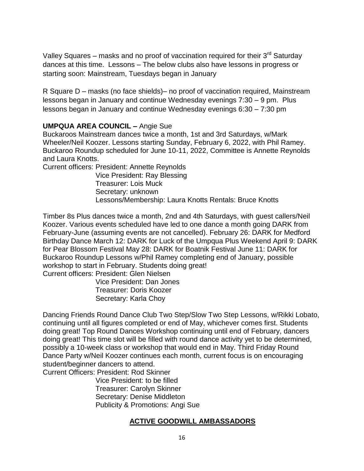Valley Squares – masks and no proof of vaccination required for their  $3<sup>rd</sup>$  Saturday dances at this time. Lessons – The below clubs also have lessons in progress or starting soon: Mainstream, Tuesdays began in January

R Square D – masks (no face shields)– no proof of vaccination required, Mainstream lessons began in January and continue Wednesday evenings 7:30 – 9 pm. Plus lessons began in January and continue Wednesday evenings 6:30 – 7:30 pm

## **UMPQUA AREA COUNCIL –** Angie Sue

Buckaroos Mainstream dances twice a month, 1st and 3rd Saturdays, w/Mark Wheeler/Neil Koozer. Lessons starting Sunday, February 6, 2022, with Phil Ramey. Buckaroo Roundup scheduled for June 10-11, 2022, Committee is Annette Reynolds and Laura Knotts.

Current officers: President: Annette Reynolds

 Vice President: Ray Blessing Treasurer: Lois Muck Secretary: unknown Lessons/Membership: Laura Knotts Rentals: Bruce Knotts

Timber 8s Plus dances twice a month, 2nd and 4th Saturdays, with guest callers/Neil Koozer. Various events scheduled have led to one dance a month going DARK from February-June (assuming events are not cancelled). February 26: DARK for Medford Birthday Dance March 12: DARK for Luck of the Umpqua Plus Weekend April 9: DARK for Pear Blossom Festival May 28: DARK for Boatnik Festival June 11: DARK for Buckaroo Roundup Lessons w/Phil Ramey completing end of January, possible workshop to start in February. Students doing great! Current officers: President: Glen Nielsen

 Vice President: Dan Jones Treasurer: Doris Koozer Secretary: Karla Choy

Dancing Friends Round Dance Club Two Step/Slow Two Step Lessons, w/Rikki Lobato, continuing until all figures completed or end of May, whichever comes first. Students doing great! Top Round Dances Workshop continuing until end of February, dancers doing great! This time slot will be filled with round dance activity yet to be determined, possibly a 10-week class or workshop that would end in May. Third Friday Round Dance Party w/Neil Koozer continues each month, current focus is on encouraging student/beginner dancers to attend.

Current Officers: President: Rod Skinner Vice President: to be filled

 Treasurer: Carolyn Skinner Secretary: Denise Middleton Publicity & Promotions: Angi Sue

# **ACTIVE GOODWILL AMBASSADORS**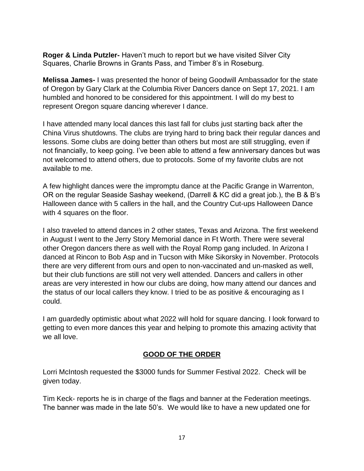**Roger & Linda Putzler-** Haven't much to report but we have visited Silver City Squares, Charlie Browns in Grants Pass, and Timber 8's in Roseburg.

**Melissa James-** I was presented the honor of being Goodwill Ambassador for the state of Oregon by Gary Clark at the Columbia River Dancers dance on Sept 17, 2021. I am humbled and honored to be considered for this appointment. I will do my best to represent Oregon square dancing wherever I dance.

I have attended many local dances this last fall for clubs just starting back after the China Virus shutdowns. The clubs are trying hard to bring back their regular dances and lessons. Some clubs are doing better than others but most are still struggling, even if not financially, to keep going. I've been able to attend a few anniversary dances but was not welcomed to attend others, due to protocols. Some of my favorite clubs are not available to me.

A few highlight dances were the impromptu dance at the Pacific Grange in Warrenton, OR on the regular Seaside Sashay weekend, (Darrell & KC did a great job.), the B & B's Halloween dance with 5 callers in the hall, and the Country Cut-ups Halloween Dance with 4 squares on the floor.

I also traveled to attend dances in 2 other states, Texas and Arizona. The first weekend in August I went to the Jerry Story Memorial dance in Ft Worth. There were several other Oregon dancers there as well with the Royal Romp gang included. In Arizona I danced at Rincon to Bob Asp and in Tucson with Mike Sikorsky in November. Protocols there are very different from ours and open to non-vaccinated and un-masked as well, but their club functions are still not very well attended. Dancers and callers in other areas are very interested in how our clubs are doing, how many attend our dances and the status of our local callers they know. I tried to be as positive & encouraging as I could.

I am guardedly optimistic about what 2022 will hold for square dancing. I look forward to getting to even more dances this year and helping to promote this amazing activity that we all love.

#### **GOOD OF THE ORDER**

Lorri McIntosh requested the \$3000 funds for Summer Festival 2022. Check will be given today.

Tim Keck- reports he is in charge of the flags and banner at the Federation meetings. The banner was made in the late 50's. We would like to have a new updated one for